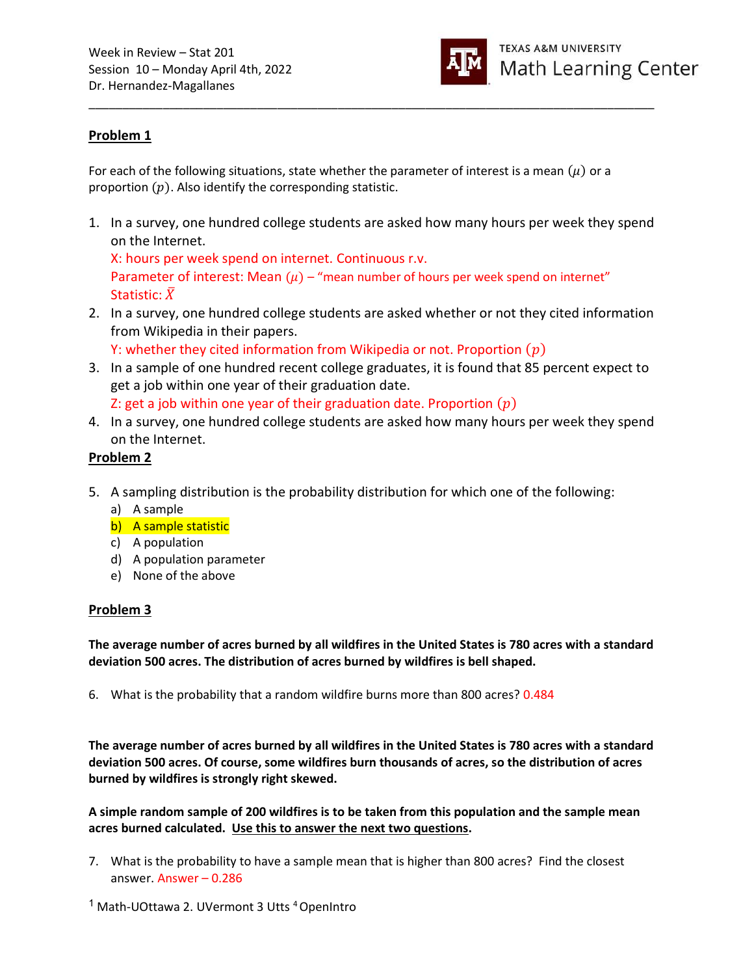

## Problem 1

For each of the following situations, state whether the parameter of interest is a mean  $(\mu)$  or a proportion  $(p)$ . Also identify the corresponding statistic.

1. In a survey, one hundred college students are asked how many hours per week they spend on the Internet.

\_\_\_\_\_\_\_\_\_\_\_\_\_\_\_\_\_\_\_\_\_\_\_\_\_\_\_\_\_\_\_\_\_\_\_\_\_\_\_\_\_\_\_\_\_\_\_\_\_\_\_\_\_\_\_\_\_\_\_\_\_\_\_\_\_\_\_\_\_\_\_\_\_\_\_\_\_\_\_\_\_\_\_\_

X: hours per week spend on internet. Continuous r.v. Parameter of interest: Mean  $(\mu)$  – "mean number of hours per week spend on internet" Statistic:  $\bar{X}$ 

2. In a survey, one hundred college students are asked whether or not they cited information from Wikipedia in their papers.

Y: whether they cited information from Wikipedia or not. Proportion  $(p)$ 

3. In a sample of one hundred recent college graduates, it is found that 85 percent expect to get a job within one year of their graduation date.

Z: get a job within one year of their graduation date. Proportion  $(p)$ 

4. In a survey, one hundred college students are asked how many hours per week they spend on the Internet.

# Problem 2

- 5. A sampling distribution is the probability distribution for which one of the following:
	- a) A sample
	- b) A sample statistic
	- c) A population
	- d) A population parameter
	- e) None of the above

## Problem 3

The average number of acres burned by all wildfires in the United States is 780 acres with a standard deviation 500 acres. The distribution of acres burned by wildfires is bell shaped.

6. What is the probability that a random wildfire burns more than 800 acres? 0.484

The average number of acres burned by all wildfires in the United States is 780 acres with a standard deviation 500 acres. Of course, some wildfires burn thousands of acres, so the distribution of acres burned by wildfires is strongly right skewed.

A simple random sample of 200 wildfires is to be taken from this population and the sample mean acres burned calculated. Use this to answer the next two questions.

7. What is the probability to have a sample mean that is higher than 800 acres? Find the closest answer. Answer – 0.286

<sup>1</sup> Math-UOttawa 2. UVermont 3 Utts <sup>4</sup> OpenIntro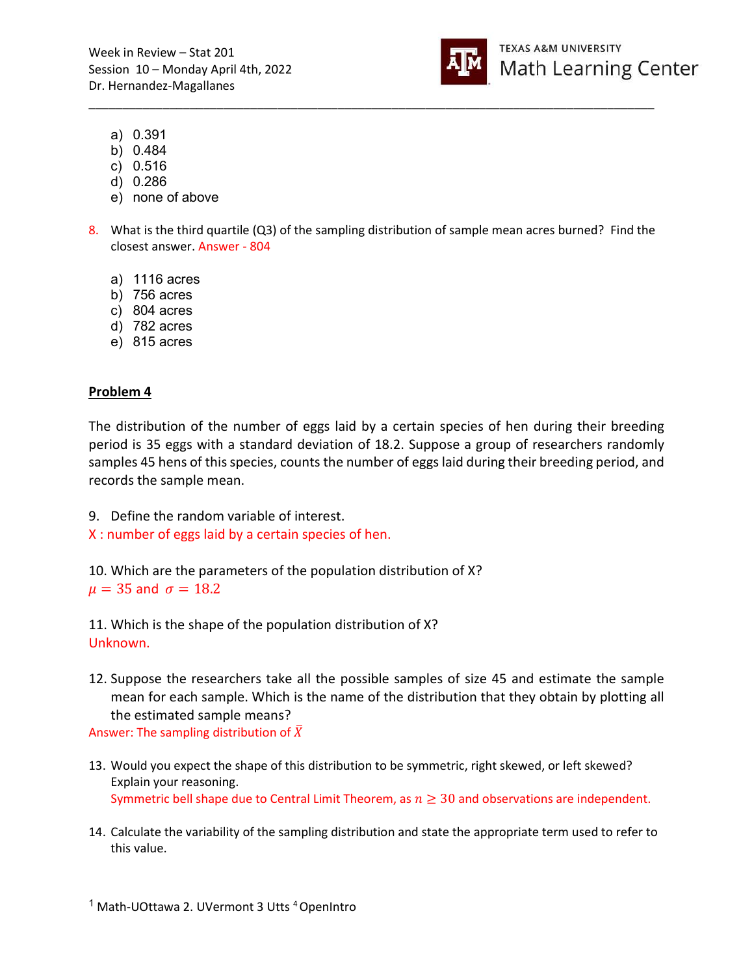Week in Review – Stat 201 Session 10 – Monday April 4th, 2022 Dr. Hernandez-Magallanes



- a) 0.391
- b) 0.484
- c) 0.516
- d) 0.286
- e) none of above
- 8. What is the third quartile (Q3) of the sampling distribution of sample mean acres burned? Find the closest answer. Answer - 804

\_\_\_\_\_\_\_\_\_\_\_\_\_\_\_\_\_\_\_\_\_\_\_\_\_\_\_\_\_\_\_\_\_\_\_\_\_\_\_\_\_\_\_\_\_\_\_\_\_\_\_\_\_\_\_\_\_\_\_\_\_\_\_\_\_\_\_\_\_\_\_\_\_\_\_\_\_\_\_\_\_\_\_\_

- a) 1116 acres
- b) 756 acres
- c) 804 acres
- d) 782 acres
- e) 815 acres

#### Problem 4

The distribution of the number of eggs laid by a certain species of hen during their breeding period is 35 eggs with a standard deviation of 18.2. Suppose a group of researchers randomly samples 45 hens of this species, counts the number of eggs laid during their breeding period, and records the sample mean.

9. Define the random variable of interest. X : number of eggs laid by a certain species of hen.

10. Which are the parameters of the population distribution of X?  $\mu = 35$  and  $\sigma = 18.2$ 

11. Which is the shape of the population distribution of X? Unknown.

12. Suppose the researchers take all the possible samples of size 45 and estimate the sample mean for each sample. Which is the name of the distribution that they obtain by plotting all the estimated sample means?

Answer: The sampling distribution of  $\bar{X}$ 

- 13. Would you expect the shape of this distribution to be symmetric, right skewed, or left skewed? Explain your reasoning. Symmetric bell shape due to Central Limit Theorem, as  $n \geq 30$  and observations are independent.
- 14. Calculate the variability of the sampling distribution and state the appropriate term used to refer to this value.

<sup>&</sup>lt;sup>1</sup> Math-UOttawa 2. UVermont 3 Utts <sup>4</sup> OpenIntro